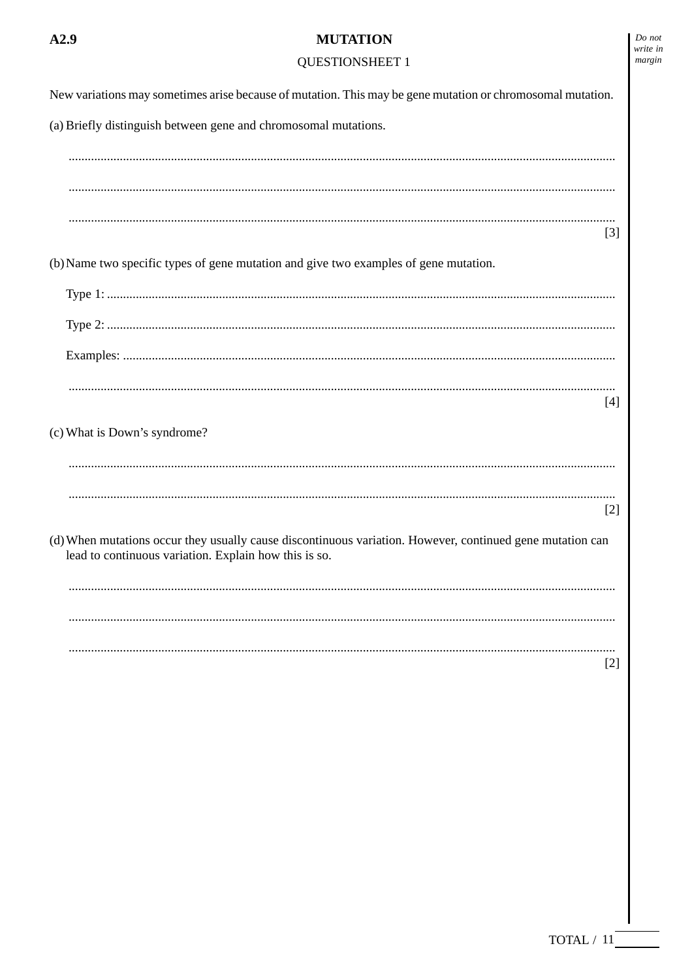## $A2.9$

# **MUTATION**

# **QUESTIONSHEET 1**

| New variations may sometimes arise because of mutation. This may be gene mutation or chromosomal mutation.                                                         |
|--------------------------------------------------------------------------------------------------------------------------------------------------------------------|
| (a) Briefly distinguish between gene and chromosomal mutations.                                                                                                    |
|                                                                                                                                                                    |
|                                                                                                                                                                    |
| $[3]$                                                                                                                                                              |
| (b) Name two specific types of gene mutation and give two examples of gene mutation.                                                                               |
|                                                                                                                                                                    |
|                                                                                                                                                                    |
|                                                                                                                                                                    |
| $[4]$                                                                                                                                                              |
| (c) What is Down's syndrome?                                                                                                                                       |
|                                                                                                                                                                    |
| $[2]$                                                                                                                                                              |
| (d) When mutations occur they usually cause discontinuous variation. However, continued gene mutation can<br>lead to continuous variation. Explain how this is so. |
|                                                                                                                                                                    |
|                                                                                                                                                                    |
| $[2]$                                                                                                                                                              |
|                                                                                                                                                                    |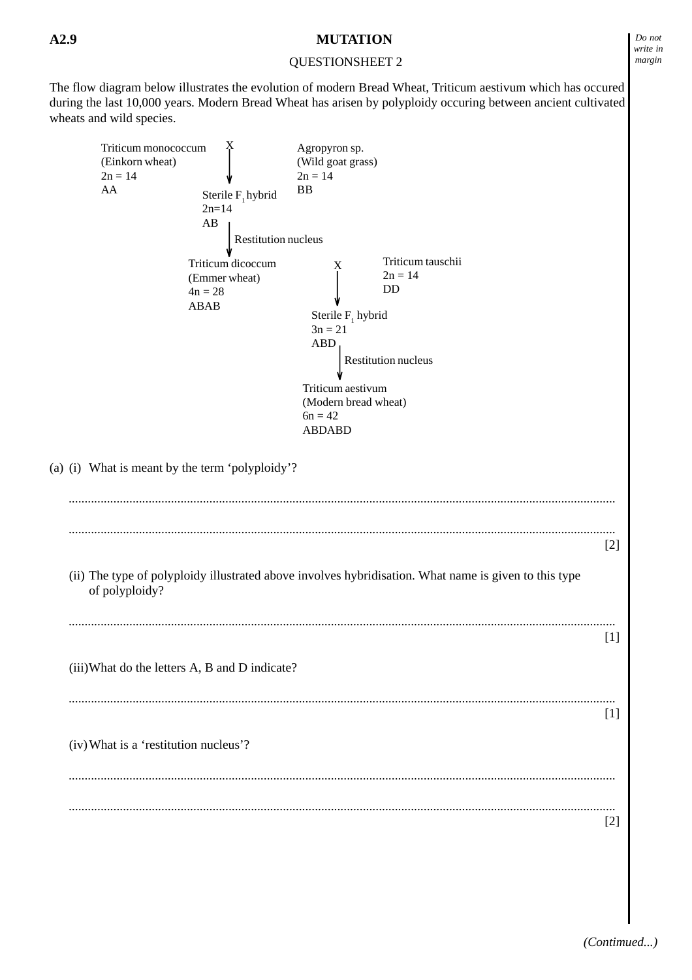## QUESTIONSHEET 2

The flow diagram below illustrates the evolution of modern Bread Wheat, Triticum aestivum which has occured during the last 10,000 years. Modern Bread Wheat has arisen by polyploidy occuring between ancient cultivated wheats and wild species.

| Triticum monococcum<br>(Einkorn wheat)          |                      | Agropyron sp.<br>(Wild goat grass)                                                                    |       |
|-------------------------------------------------|----------------------|-------------------------------------------------------------------------------------------------------|-------|
| $2n = 14$                                       |                      | $2n = 14$                                                                                             |       |
| AA                                              | Sterile $F_1$ hybrid | <b>BB</b>                                                                                             |       |
|                                                 | $2n=14$              |                                                                                                       |       |
|                                                 | AB                   |                                                                                                       |       |
|                                                 | Restitution nucleus  |                                                                                                       |       |
|                                                 |                      |                                                                                                       |       |
|                                                 | Triticum dicoccum    | Triticum tauschii<br>X                                                                                |       |
|                                                 | (Emmer wheat)        | $2n = 14$                                                                                             |       |
|                                                 | $4n = 28$            | DD                                                                                                    |       |
|                                                 | <b>ABAB</b>          | Sterile $F_1$ hybrid                                                                                  |       |
|                                                 |                      | $3n = 21$                                                                                             |       |
|                                                 |                      | <b>ABD</b>                                                                                            |       |
|                                                 |                      |                                                                                                       |       |
|                                                 |                      | Restitution nucleus                                                                                   |       |
|                                                 |                      | Triticum aestivum                                                                                     |       |
|                                                 |                      | (Modern bread wheat)                                                                                  |       |
|                                                 |                      | $6n = 42$                                                                                             |       |
|                                                 |                      | <b>ABDABD</b>                                                                                         |       |
|                                                 |                      |                                                                                                       |       |
| (a) (i) What is meant by the term 'polyploidy'? |                      |                                                                                                       |       |
|                                                 |                      |                                                                                                       | $[2]$ |
| of polyploidy?                                  |                      | (ii) The type of polyploidy illustrated above involves hybridisation. What name is given to this type |       |
|                                                 |                      |                                                                                                       | $[1]$ |
| (iii) What do the letters A, B and D indicate?  |                      |                                                                                                       |       |
|                                                 |                      |                                                                                                       | $[1]$ |
| (iv) What is a 'restitution nucleus'?           |                      |                                                                                                       |       |
|                                                 |                      |                                                                                                       | $[2]$ |
|                                                 |                      |                                                                                                       |       |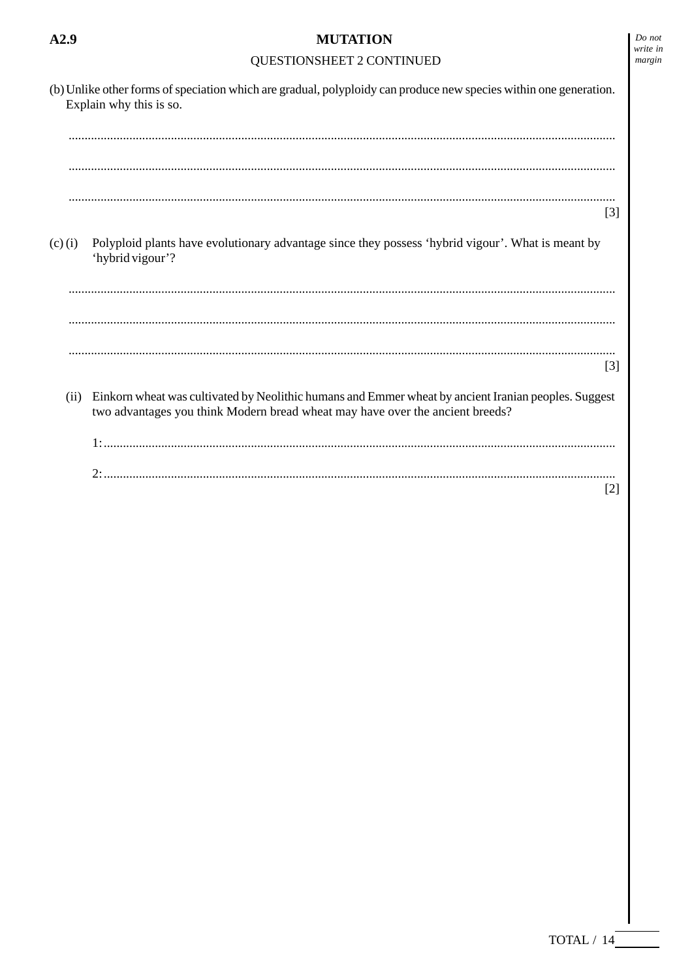|             | (b) Unlike other forms of speciation which are gradual, polyploidy can produce new species within one generation.<br>Explain why this is so.                                          |
|-------------|---------------------------------------------------------------------------------------------------------------------------------------------------------------------------------------|
|             | $[3]$                                                                                                                                                                                 |
| $(c)$ $(i)$ | Polyploid plants have evolutionary advantage since they possess 'hybrid vigour'. What is meant by<br>'hybrid vigour'?                                                                 |
|             |                                                                                                                                                                                       |
|             | $[3]$                                                                                                                                                                                 |
| (ii)        | Einkorn wheat was cultivated by Neolithic humans and Emmer wheat by ancient Iranian peoples. Suggest<br>two advantages you think Modern bread wheat may have over the ancient breeds? |
|             |                                                                                                                                                                                       |
|             | $[2]$                                                                                                                                                                                 |
|             |                                                                                                                                                                                       |
|             |                                                                                                                                                                                       |
|             |                                                                                                                                                                                       |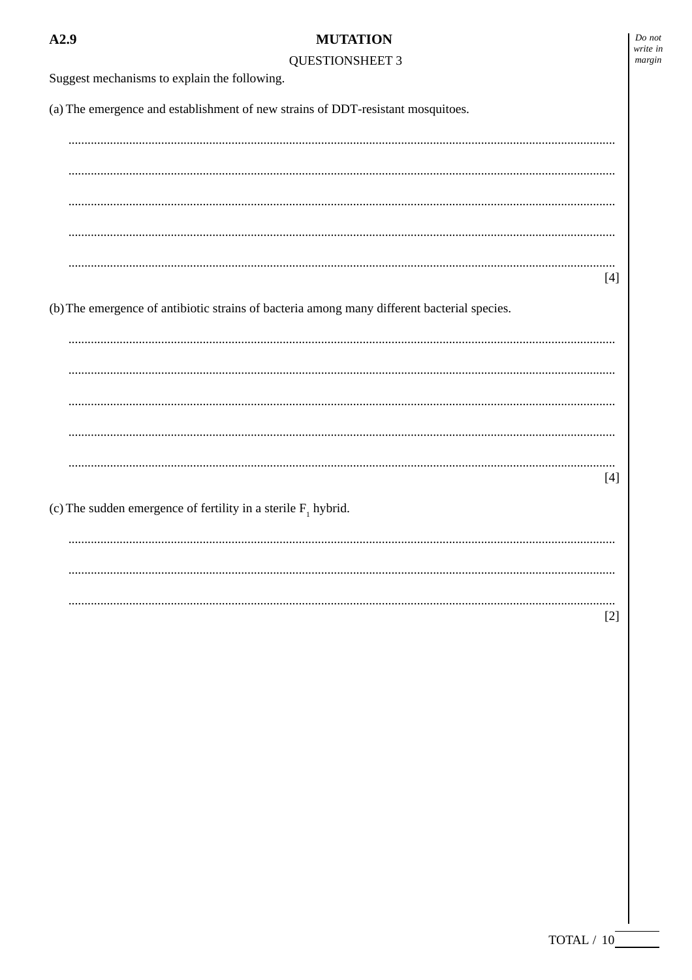$Do$  not write in margin

**OUESTIONSHEET 3** 

Suggest mechanisms to explain the following. (a) The emergence and establishment of new strains of DDT-resistant mosquitoes.  $[4]$ (b) The emergence of antibiotic strains of bacteria among many different bacterial species.  $[4]$ (c) The sudden emergence of fertility in a sterile  $F_1$  hybrid.  $[2]$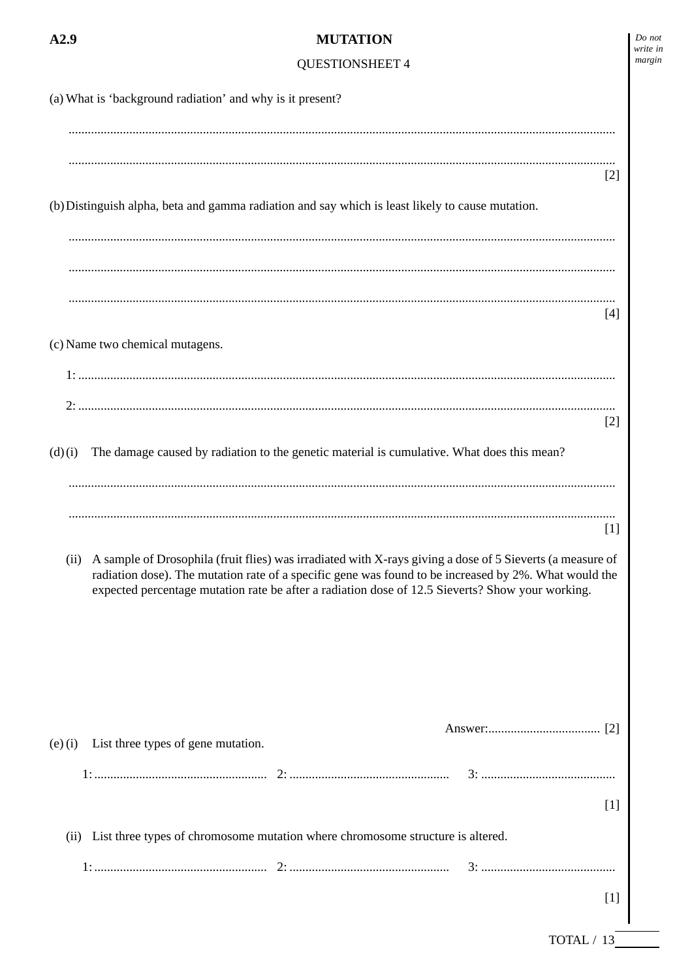|           | <b>MUTATION</b>                                                                                                                                                                                                                                                                                                        |       |
|-----------|------------------------------------------------------------------------------------------------------------------------------------------------------------------------------------------------------------------------------------------------------------------------------------------------------------------------|-------|
|           | <b>QUESTIONSHEET 4</b>                                                                                                                                                                                                                                                                                                 |       |
|           | (a) What is 'background radiation' and why is it present?                                                                                                                                                                                                                                                              |       |
|           |                                                                                                                                                                                                                                                                                                                        | $[2]$ |
|           | (b) Distinguish alpha, beta and gamma radiation and say which is least likely to cause mutation.                                                                                                                                                                                                                       |       |
|           |                                                                                                                                                                                                                                                                                                                        |       |
|           |                                                                                                                                                                                                                                                                                                                        | $[4]$ |
|           | (c) Name two chemical mutagens.                                                                                                                                                                                                                                                                                        |       |
| 2:        |                                                                                                                                                                                                                                                                                                                        |       |
|           |                                                                                                                                                                                                                                                                                                                        | $[2]$ |
| (d)(i)    | The damage caused by radiation to the genetic material is cumulative. What does this mean?                                                                                                                                                                                                                             |       |
|           |                                                                                                                                                                                                                                                                                                                        |       |
|           |                                                                                                                                                                                                                                                                                                                        | $[1]$ |
| (ii)      | A sample of Drosophila (fruit flies) was irradiated with X-rays giving a dose of 5 Sieverts (a measure of<br>radiation dose). The mutation rate of a specific gene was found to be increased by 2%. What would the<br>expected percentage mutation rate be after a radiation dose of 12.5 Sieverts? Show your working. |       |
|           | List three types of gene mutation.                                                                                                                                                                                                                                                                                     |       |
| $(e)$ (i) |                                                                                                                                                                                                                                                                                                                        |       |
|           |                                                                                                                                                                                                                                                                                                                        | $[1]$ |
|           | (ii) List three types of chromosome mutation where chromosome structure is altered.                                                                                                                                                                                                                                    |       |
|           |                                                                                                                                                                                                                                                                                                                        |       |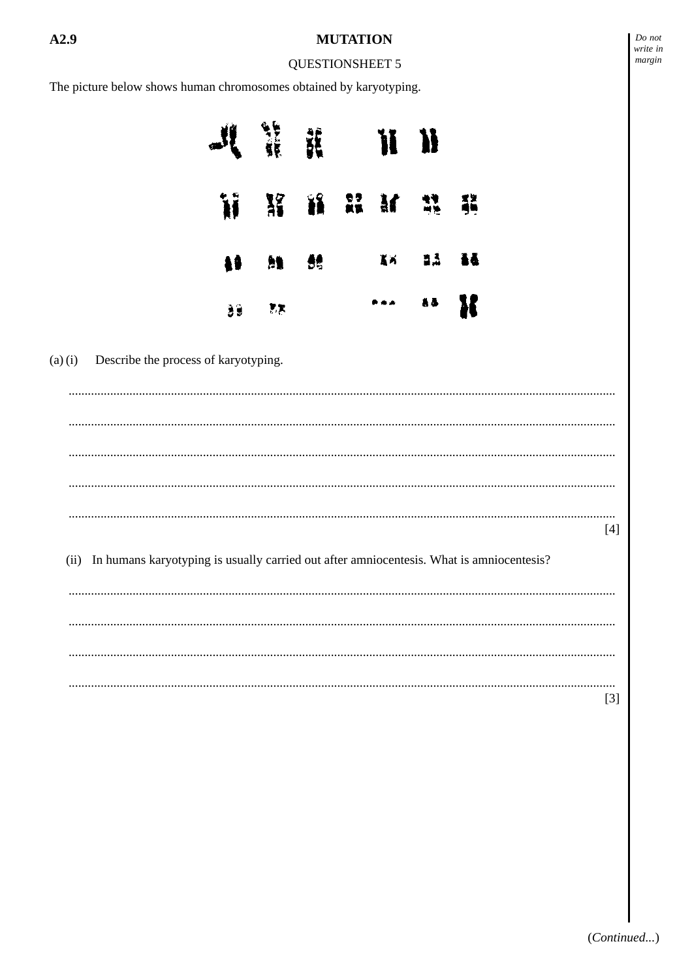#### **QUESTIONSHEET 5**

The picture below shows human chromosomes obtained by karyotyping.

| $\mathcal{M}$ if it is $\mathcal{H}$ |  |                          |  |
|--------------------------------------|--|--------------------------|--|
| WXWMMM                               |  |                          |  |
| <b>49 M 86</b>                       |  | 医尿 医蓝 黃義                 |  |
| $39 - 77$                            |  | $\cdots$ as $\mathbf{R}$ |  |

 $(a)$  $(i)$ Describe the process of karyotyping.

 $[4]$ 

(ii) In humans karyotyping is usually carried out after amniocentesis. What is amniocentesis?

 $[3]$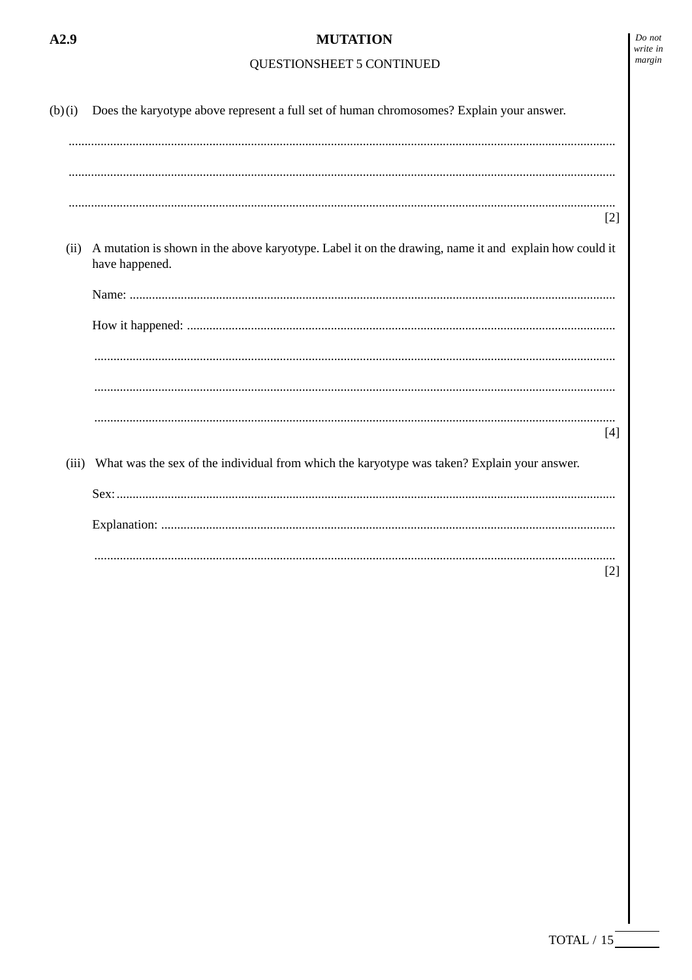## QUESTIONSHEET 5 CONTINUED

| (b)(i) | Does the karyotype above represent a full set of human chromosomes? Explain your answer.                                |       |
|--------|-------------------------------------------------------------------------------------------------------------------------|-------|
|        |                                                                                                                         |       |
|        |                                                                                                                         |       |
|        |                                                                                                                         | $[2]$ |
| (ii)   | A mutation is shown in the above karyotype. Label it on the drawing, name it and explain how could it<br>have happened. |       |
|        |                                                                                                                         |       |
|        |                                                                                                                         |       |
|        |                                                                                                                         |       |
|        |                                                                                                                         |       |
|        |                                                                                                                         | [4]   |
| (iii)  | What was the sex of the individual from which the karyotype was taken? Explain your answer.                             |       |
|        |                                                                                                                         |       |
|        |                                                                                                                         |       |
|        |                                                                                                                         | $[2]$ |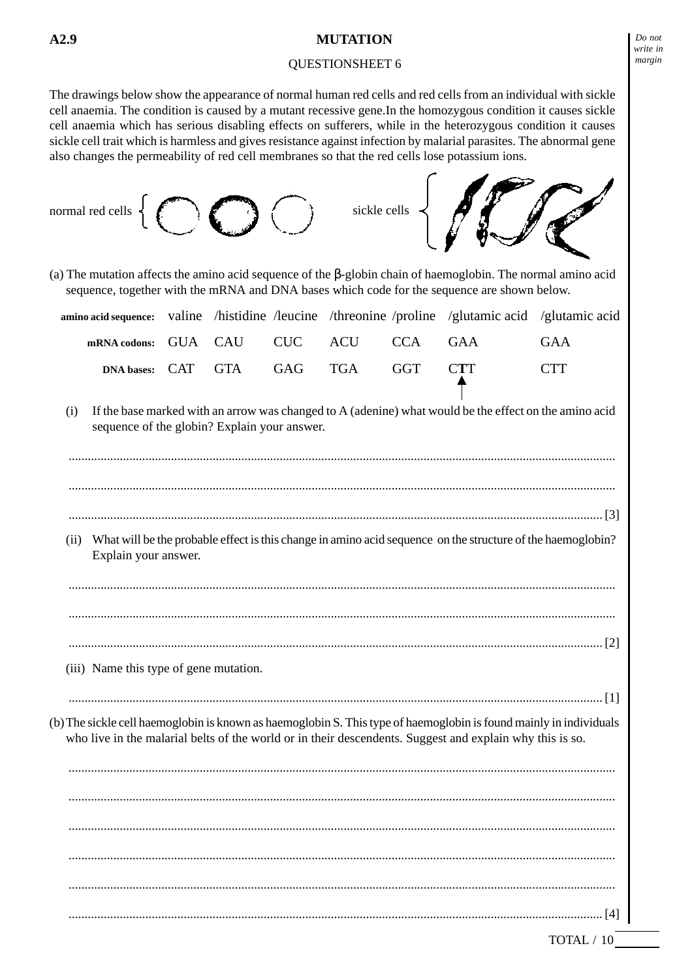#### QUESTIONSHEET 6

The drawings below show the appearance of normal human red cells and red cells from an individual with sickle cell anaemia. The condition is caused by a mutant recessive gene.In the homozygous condition it causes sickle cell anaemia which has serious disabling effects on sufferers, while in the heterozygous condition it causes sickle cell trait which is harmless and gives resistance against infection by malarial parasites. The abnormal gene also changes the permeability of red cell membranes so that the red cells lose potassium ions.



TOTAL / 10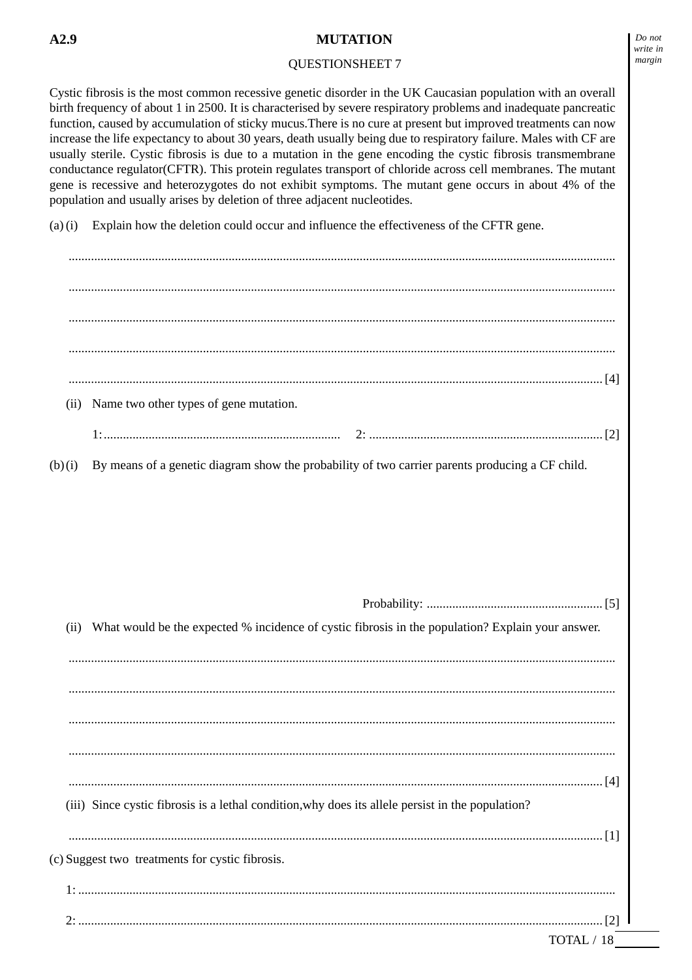#### QUESTIONSHEET 7

Cystic fibrosis is the most common recessive genetic disorder in the UK Caucasian population with an overall birth frequency of about 1 in 2500. It is characterised by severe respiratory problems and inadequate pancreatic function, caused by accumulation of sticky mucus.There is no cure at present but improved treatments can now increase the life expectancy to about 30 years, death usually being due to respiratory failure. Males with CF are usually sterile. Cystic fibrosis is due to a mutation in the gene encoding the cystic fibrosis transmembrane conductance regulator(CFTR). This protein regulates transport of chloride across cell membranes. The mutant gene is recessive and heterozygotes do not exhibit symptoms. The mutant gene occurs in about 4% of the population and usually arises by deletion of three adjacent nucleotides.

(a) (i) Explain how the deletion could occur and influence the effectiveness of the CFTR gene.

| (ii)   | Name two other types of gene mutation.                                                            |
|--------|---------------------------------------------------------------------------------------------------|
| (b)(i) | By means of a genetic diagram show the probability of two carrier parents producing a CF child.   |
|        |                                                                                                   |
|        |                                                                                                   |
|        |                                                                                                   |
|        | What would be the expected % incidence of cystic fibrosis in the population? Explain your answer. |
|        |                                                                                                   |
|        |                                                                                                   |
| (ii)   |                                                                                                   |
|        |                                                                                                   |
|        |                                                                                                   |
|        | (iii) Since cystic fibrosis is a lethal condition, why does its allele persist in the population? |

2: .................................................................................................................................................................... [2]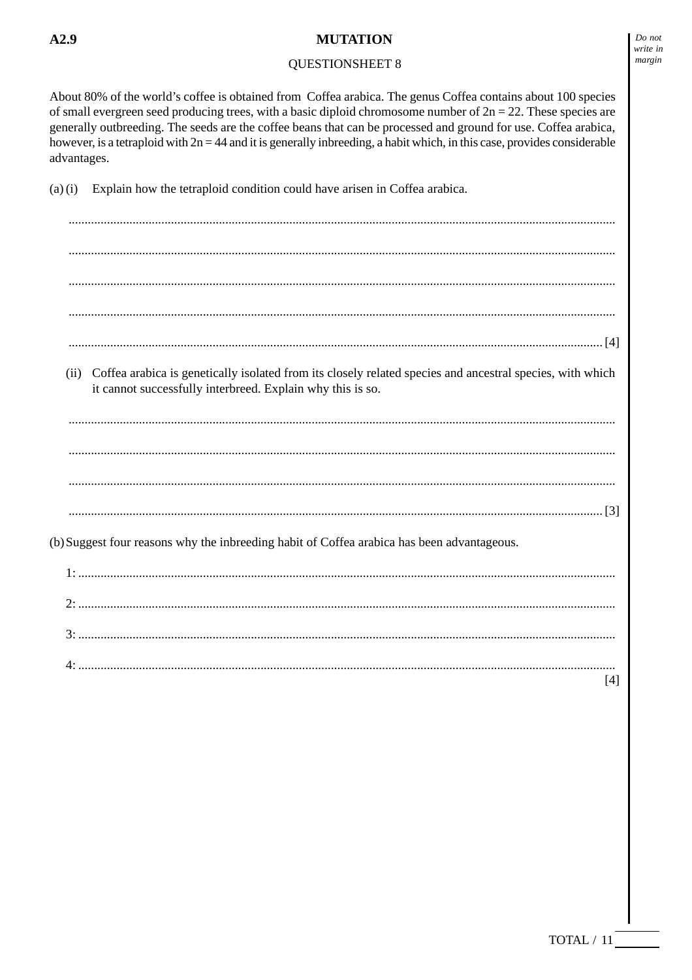## **QUESTIONSHEET 8**

Do not write in margin

About 80% of the world's coffee is obtained from Coffea arabica. The genus Coffea contains about 100 species of small evergreen seed producing trees, with a basic diploid chromosome number of  $2n = 22$ . These species are generally outbreeding. The seeds are the coffee beans that can be processed and ground for use. Coffea arabica, however, is a tetraploid with  $2n = 44$  and it is generally inbreeding, a habit which, in this case, provides considerable advantages.

Explain how the tetraploid condition could have arisen in Coffea arabica.  $(a)(i)$ 

(ii) Coffea arabica is genetically isolated from its closely related species and ancestral species, with which it cannot successfully interbreed. Explain why this is so. (b) Suggest four reasons why the inbreeding habit of Coffea arabica has been advantageous.  $1.$  $[4]$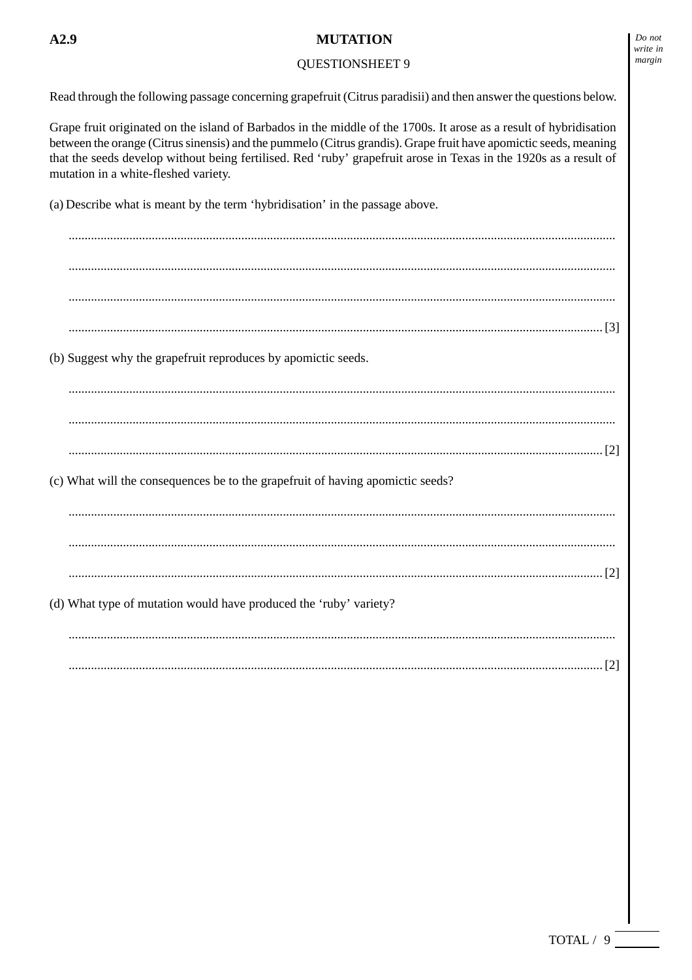# $A2.9$

### **MUTATION**

#### **QUESTIONSHEET 9**

Read through the following passage concerning grapefruit (Citrus paradisii) and then answer the questions below.

Grape fruit originated on the island of Barbados in the middle of the 1700s. It arose as a result of hybridisation between the orange (Citrus sinensis) and the pummelo (Citrus grandis). Grape fruit have apomictic seeds, meaning that the seeds develop without being fertilised. Red 'ruby' grapefruit arose in Texas in the 1920s as a result of mutation in a white-fleshed variety.

(a) Describe what is meant by the term 'hybridisation' in the passage above.

(b) Suggest why the grapefruit reproduces by apomictic seeds. (c) What will the consequences be to the grapefruit of having apomictic seeds? (d) What type of mutation would have produced the 'ruby' variety?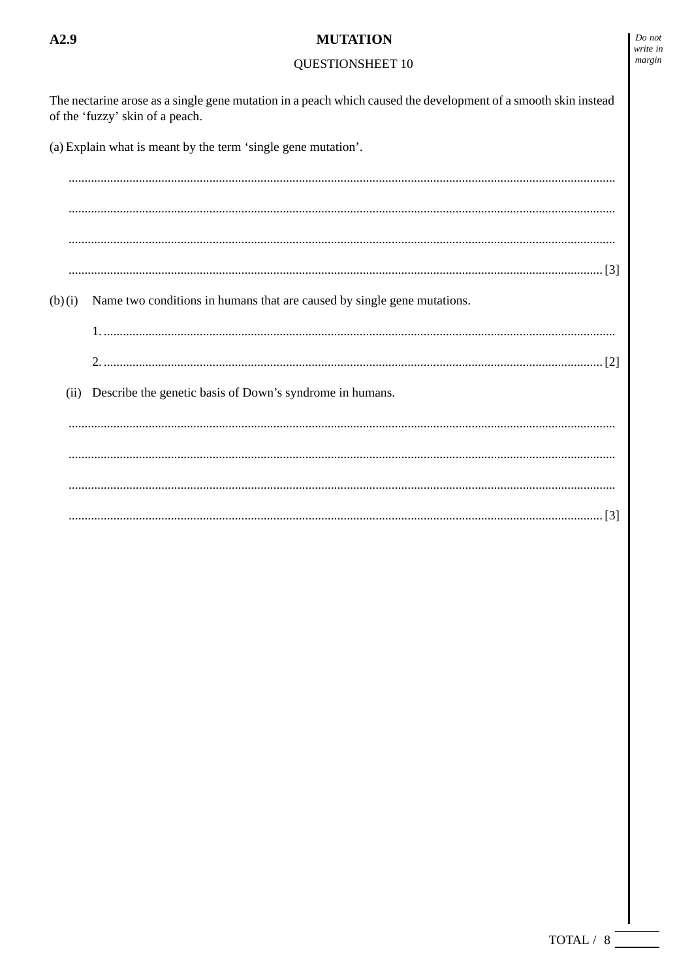## $A2.9$

#### **MUTATION**

# QUESTIONSHEET 10

 $\emph{Do}$  not write in  $margin$ 

| The nectarine arose as a single gene mutation in a peach which caused the development of a smooth skin instead<br>of the 'fuzzy' skin of a peach.<br>(a) Explain what is meant by the term 'single gene mutation'. |  |  |  |  |
|--------------------------------------------------------------------------------------------------------------------------------------------------------------------------------------------------------------------|--|--|--|--|
|                                                                                                                                                                                                                    |  |  |  |  |
|                                                                                                                                                                                                                    |  |  |  |  |
|                                                                                                                                                                                                                    |  |  |  |  |
|                                                                                                                                                                                                                    |  |  |  |  |
| Name two conditions in humans that are caused by single gene mutations.<br>(b)(i)                                                                                                                                  |  |  |  |  |
|                                                                                                                                                                                                                    |  |  |  |  |
|                                                                                                                                                                                                                    |  |  |  |  |
| Describe the genetic basis of Down's syndrome in humans.<br>(ii)                                                                                                                                                   |  |  |  |  |
|                                                                                                                                                                                                                    |  |  |  |  |
|                                                                                                                                                                                                                    |  |  |  |  |
|                                                                                                                                                                                                                    |  |  |  |  |
|                                                                                                                                                                                                                    |  |  |  |  |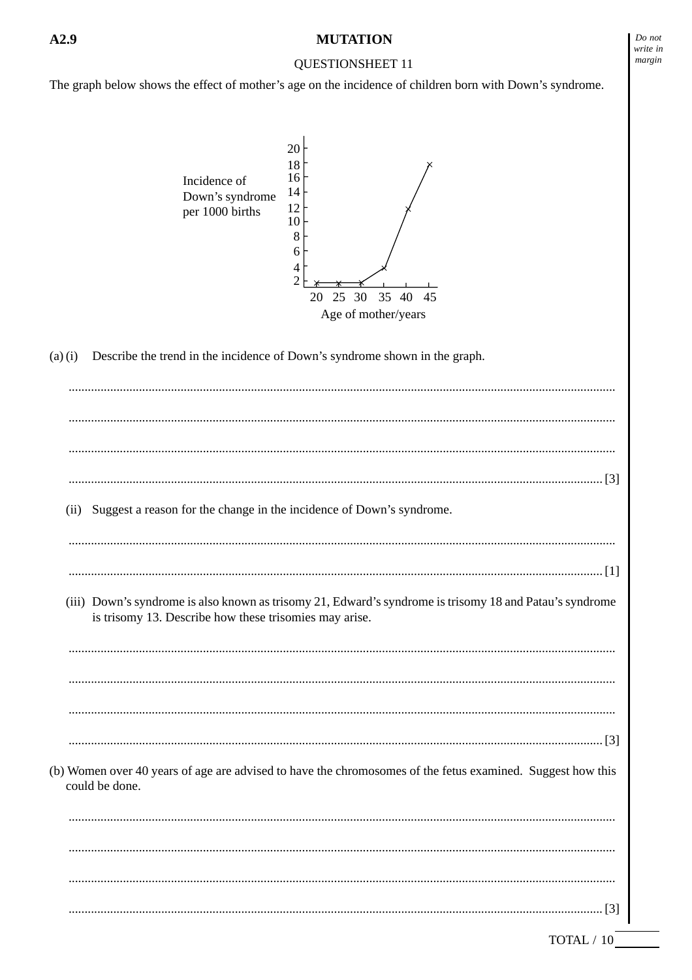## QUESTIONSHEET 11

The graph below shows the effect of mother's age on the incidence of children born with Down's syndrome.



(a) (i) Describe the trend in the incidence of Down's syndrome shown in the graph.

| (ii) | Suggest a reason for the change in the incidence of Down's syndrome.                                                                                              |
|------|-------------------------------------------------------------------------------------------------------------------------------------------------------------------|
|      |                                                                                                                                                                   |
|      |                                                                                                                                                                   |
|      | (iii) Down's syndrome is also known as trisomy 21, Edward's syndrome is trisomy 18 and Patau's syndrome<br>is trisomy 13. Describe how these trisomies may arise. |
|      |                                                                                                                                                                   |
|      |                                                                                                                                                                   |
|      |                                                                                                                                                                   |
|      |                                                                                                                                                                   |
|      | (b) Women over 40 years of age are advised to have the chromosomes of the fetus examined. Suggest how this<br>could be done.                                      |
|      |                                                                                                                                                                   |
|      |                                                                                                                                                                   |
|      |                                                                                                                                                                   |
|      |                                                                                                                                                                   |